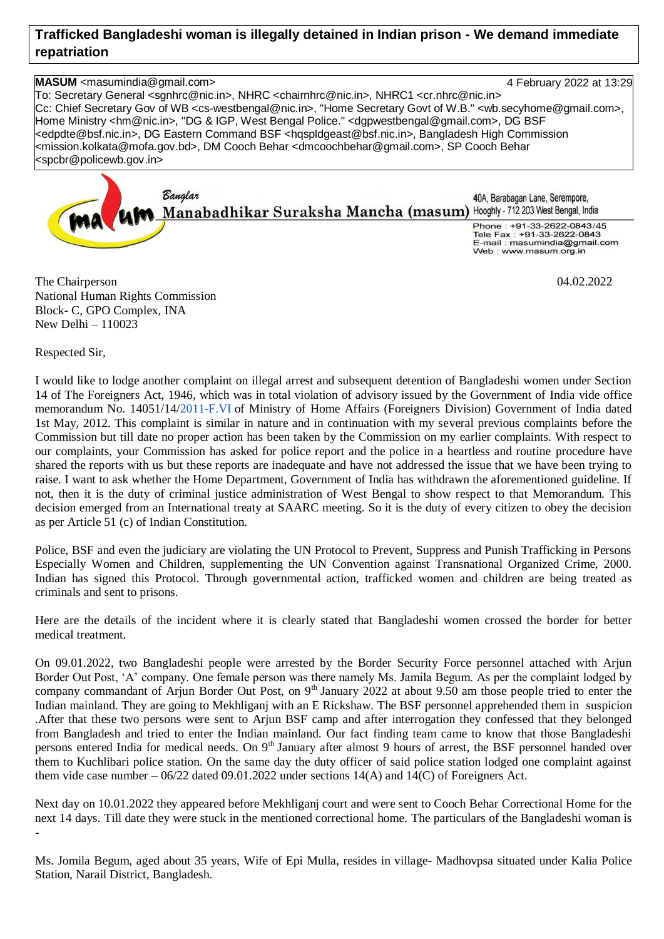## **Trafficked Bangladeshi woman is illegally detained in Indian prison - We demand immediate repatriation**

**MASUM** <masumindia@gmail.com> 4 February 2022 at 13:29 To: Secretary General <sgnhrc@nic.in>, NHRC <chairnhrc@nic.in>, NHRC1 <cr.nhrc@nic.in> Cc: Chief Secretary Gov of WB <cs-westbengal@nic.in>, "Home Secretary Govt of W.B." <wb.secyhome@gmail.com>, Home Ministry <hm@nic.in>, "DG & IGP, West Bengal Police." <dgpwestbengal@gmail.com>, DG BSF <edpdte@bsf.nic.in>, DG Eastern Command BSF <hqspldgeast@bsf.nic.in>, Bangladesh High Commission <mission.kolkata@mofa.gov.bd>, DM Cooch Behar <dmcoochbehar@gmail.com>, SP Cooch Behar <spcbr@policewb.gov.in>



The Chairperson 04.02.2022 National Human Rights Commission Block- C, GPO Complex, INA New Delhi – 110023

Respected Sir,

I would like to lodge another complaint on illegal arrest and subsequent detention of Bangladeshi women under Section 14 of The Foreigners Act, 1946, which was in total violation of advisory issued by the Government of India vide office memorandum No. 14051/14[/2011-F.VI](http://2011-f.vi/) of Ministry of Home Affairs (Foreigners Division) Government of India dated 1st May, 2012. This complaint is similar in nature and in continuation with my several previous complaints before the Commission but till date no proper action has been taken by the Commission on my earlier complaints. With respect to our complaints, your Commission has asked for police report and the police in a heartless and routine procedure have shared the reports with us but these reports are inadequate and have not addressed the issue that we have been trying to raise. I want to ask whether the Home Department, Government of India has withdrawn the aforementioned guideline. If not, then it is the duty of criminal justice administration of West Bengal to show respect to that Memorandum. This decision emerged from an International treaty at SAARC meeting. So it is the duty of every citizen to obey the decision as per Article 51 (c) of Indian Constitution.

Police, BSF and even the judiciary are violating the UN Protocol to Prevent, Suppress and Punish Trafficking in Persons Especially Women and Children, supplementing the UN Convention against Transnational Organized Crime, 2000. Indian has signed this Protocol. Through governmental action, trafficked women and children are being treated as criminals and sent to prisons.

Here are the details of the incident where it is clearly stated that Bangladeshi women crossed the border for better medical treatment.

On 09.01.2022, two Bangladeshi people were arrested by the Border Security Force personnel attached with Arjun Border Out Post, 'A' company. One female person was there namely Ms. Jamila Begum. As per the complaint lodged by company commandant of Arjun Border Out Post, on 9<sup>th</sup> January 2022 at about 9.50 am those people tried to enter the Indian mainland. They are going to Mekhliganj with an E Rickshaw. The BSF personnel apprehended them in suspicion .After that these two persons were sent to Arjun BSF camp and after interrogation they confessed that they belonged from Bangladesh and tried to enter the Indian mainland. Our fact finding team came to know that those Bangladeshi persons entered India for medical needs. On 9<sup>th</sup> January after almost 9 hours of arrest, the BSF personnel handed over them to Kuchlibari police station. On the same day the duty officer of said police station lodged one complaint against them vide case number  $-06/22$  dated 09.01.2022 under sections 14(A) and 14(C) of Foreigners Act.

Next day on 10.01.2022 they appeared before Mekhliganj court and were sent to Cooch Behar Correctional Home for the next 14 days. Till date they were stuck in the mentioned correctional home. The particulars of the Bangladeshi woman is -

Ms. Jomila Begum, aged about 35 years, Wife of Epi Mulla, resides in village- Madhovpsa situated under Kalia Police Station, Narail District, Bangladesh.